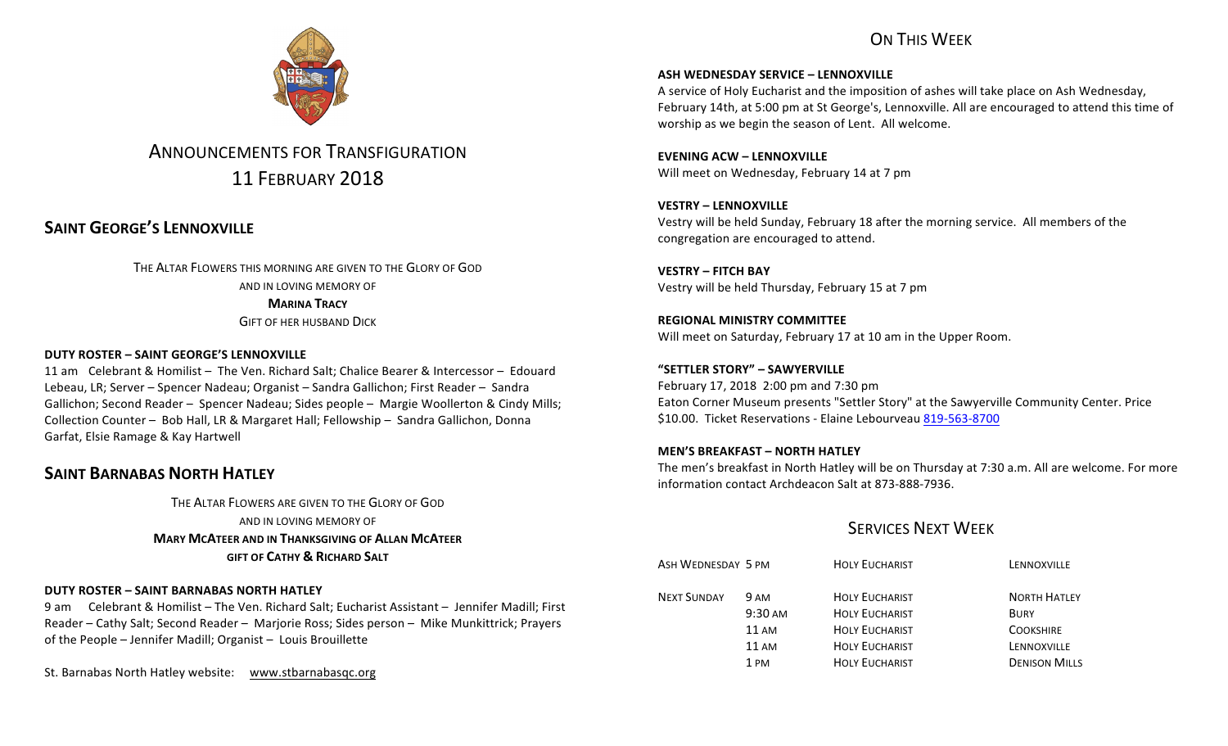# ON THIS WFFK



# ANNOUNCEMENTS FOR TRANSFIGURATION 11 FEBRUARY 2018

# **SAINT GEORGE'S LENNOXVILLE**

THE ALTAR FLOWERS THIS MORNING ARE GIVEN TO THE GLORY OF GOD AND IN LOVING MEMORY OF **MARINA TRACY GIFT OF HER HUSBAND DICK** 

## **DUTY ROSTER – SAINT GEORGE'S LENNOXVILLE**

11 am Celebrant & Homilist – The Ven. Richard Salt: Chalice Bearer & Intercessor – Edouard Lebeau, LR; Server – Spencer Nadeau; Organist – Sandra Gallichon; First Reader – Sandra Gallichon; Second Reader – Spencer Nadeau; Sides people – Margie Woollerton & Cindy Mills; Collection Counter - Bob Hall, LR & Margaret Hall; Fellowship - Sandra Gallichon, Donna Garfat, Elsie Ramage & Kay Hartwell

# **SAINT BARNABAS NORTH HATLEY**

THE ALTAR FLOWERS ARE GIVEN TO THE GLORY OF GOD AND IN LOVING MEMORY OF **MARY MCATEER AND IN THANKSGIVING OF ALLAN MCATEER GIFT OF CATHY & RICHARD SALT**

### **DUTY ROSTER – SAINT BARNABAS NORTH HATLEY**

9 am Celebrant & Homilist - The Ven. Richard Salt; Eucharist Assistant - Jennifer Madill; First Reader – Cathy Salt; Second Reader – Marjorie Ross; Sides person – Mike Munkittrick; Prayers of the People - Jennifer Madill; Organist - Louis Brouillette

St. Barnabas North Hatley website: www.stbarnabasqc.org

**ASH WEDNESDAY SERVICE - LENNOXVILLE** 

A service of Holy Eucharist and the imposition of ashes will take place on Ash Wednesday, February 14th, at 5:00 pm at St George's, Lennoxville. All are encouraged to attend this time of worship as we begin the season of Lent. All welcome.

**EVENING ACW – LENNOXVILLE** Will meet on Wednesday, February 14 at 7 pm

**VESTRY – LENNOXVILLE** Vestry will be held Sunday, February 18 after the morning service. All members of the congregation are encouraged to attend.

**VESTRY – FITCH BAY** Vestry will be held Thursday, February 15 at 7 pm

**REGIONAL MINISTRY COMMITTEE** Will meet on Saturday, February 17 at 10 am in the Upper Room.

**"SETTLER STORY" – SAWYERVILLE** February 17, 2018 2:00 pm and 7:30 pm Eaton Corner Museum presents "Settler Story" at the Sawyerville Community Center. Price \$10.00. Ticket Reservations - Elaine Lebourveau 819-563-8700

### **MEN'S BREAKFAST – NORTH HATLEY**

The men's breakfast in North Hatley will be on Thursday at 7:30 a.m. All are welcome. For more information contact Archdeacon Salt at 873-888-7936.

# **SERVICES NEXT WEEK**

| ASH WEDNESDAY 5 PM |                   | <b>HOLY EUCHARIST</b> | LENNOXVILLE          |
|--------------------|-------------------|-----------------------|----------------------|
| <b>NEXT SUNDAY</b> | 9 AM              | <b>HOLY EUCHARIST</b> | <b>NORTH HATLEY</b>  |
|                    | $9:30 \text{ AM}$ | <b>HOLY EUCHARIST</b> | BURY                 |
|                    | $11 \text{ AM}$   | <b>HOLY EUCHARIST</b> | <b>COOKSHIRE</b>     |
|                    | $11 \text{ AM}$   | <b>HOLY EUCHARIST</b> | LENNOXVILLE          |
|                    | 1 PM              | <b>HOLY EUCHARIST</b> | <b>DENISON MILLS</b> |